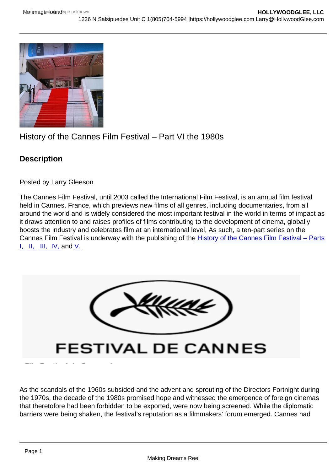## History of the Cannes Film Festival – Part VI the 1980s

**Description** 

Posted by Larry Gleeson

The Cannes Film Festival, until 2003 called the International Film Festival, is an annual film festival held in Cannes, France, which previews new films of all genres, including documentaries, from all around the world and is widely considered the most important festival in the world in terms of impact as it draws attention to and raises profiles of films contributing to the development of cinema, globally boosts the industry and celebrates film at an international level, As such, a ten-part series on the Cannes Film Festival is underway with the publishing of the [History of the Cannes Film Festival – Parts](https://hollywoodglee.com/2022/03/24/history-of-the-cannes-film-festival-part-i/)  [I,](https://hollywoodglee.com/2022/03/24/history-of-the-cannes-film-festival-part-i/) [II,](https://hollywoodglee.com/2022/03/26/history-of-the-cannes-film-festival-part-ii/) [III,](https://hollywoodglee.com/2022/03/28/history-of-the-cannes-film-festival-part-iii/) [IV, a](https://hollywoodglee.com/2022/03/31/history-of-the-cannes-film-festival-part-iv-the-1960s/)nd [V.](https://hollywoodglee.com/2022/04/01/history-of-the-cannes-film-festival-part-v-directors-fortnight-and-the-70s/)

As the scandals of the 1960s subsided and the advent and sprouting of the Directors Fortnight during the 1970s, the decade of the 1980s promised hope and witnessed the emergence of foreign cinemas that theretofore had been forbidden to be exported, were now being screened. While the diplomatic barriers were being shaken, the festival's reputation as a filmmakers' forum emerged. Cannes had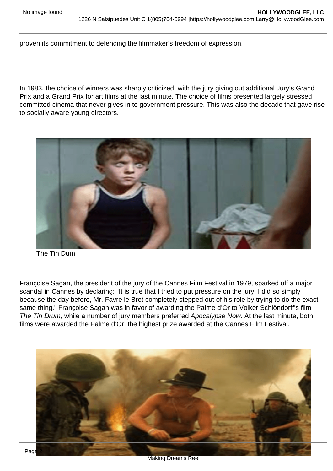proven its commitment to defending the filmmaker's freedom of expression.

In 1983, the choice of winners was sharply criticized, with the jury giving out additional Jury's Grand Prix and a Grand Prix for art films at the last minute. The choice of films presented largely stressed committed cinema that never gives in to government pressure. This was also the decade that gave rise to socially aware young directors.

The Tin Dum

Françoise Sagan, the president of the jury of the Cannes Film Festival in 1979, sparked off a major scandal in Cannes by declaring: "It is true that I tried to put pressure on the jury. I did so simply because the day before, Mr. Favre le Bret completely stepped out of his role by trying to do the exact same thing." Françoise Sagan was in favor of awarding the Palme d'Or to Volker Schlöndorff's film The Tin Drum, while a number of jury members preferred Apocalypse Now. At the last minute, both films were awarded the Palme d'Or, the highest prize awarded at the Cannes Film Festival.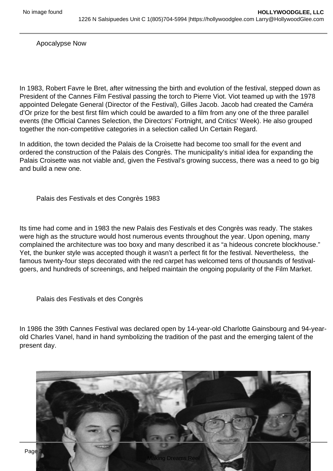Apocalypse Now

In 1983, Robert Favre le Bret, after witnessing the birth and evolution of the festival, stepped down as President of the Cannes Film Festival passing the torch to Pierre Viot. Viot teamed up with the 1978 appointed Delegate General (Director of the Festival), Gilles Jacob. Jacob had created the Caméra d'Or prize for the best first film which could be awarded to a film from any one of the three parallel events (the Official Cannes Selection, the Directors' Fortnight, and Critics' Week). He also grouped together the non-competitive categories in a selection called Un Certain Regard.

In addition, the town decided the Palais de la Croisette had become too small for the event and ordered the construction of the Palais des Congrès. The municipality's initial idea for expanding the Palais Croisette was not viable and, given the Festival's growing success, there was a need to go big and build a new one.

Palais des Festivals et des Congrès 1983

Its time had come and in 1983 the new Palais des Festivals et des Congrès was ready. The stakes were high as the structure would host numerous events throughout the year. Upon opening, many complained the architecture was too boxy and many described it as "a hideous concrete blockhouse." Yet, the bunker style was accepted though it wasn't a perfect fit for the festival. Nevertheless, the famous twenty-four steps decorated with the red carpet has welcomed tens of thousands of festivalgoers, and hundreds of screenings, and helped maintain the ongoing popularity of the Film Market.

Palais des Festivals et des Congrès

In 1986 the 39th Cannes Festival was declared open by 14-year-old Charlotte Gainsbourg and 94-yearold Charles Vanel, hand in hand symbolizing the tradition of the past and the emerging talent of the present day.